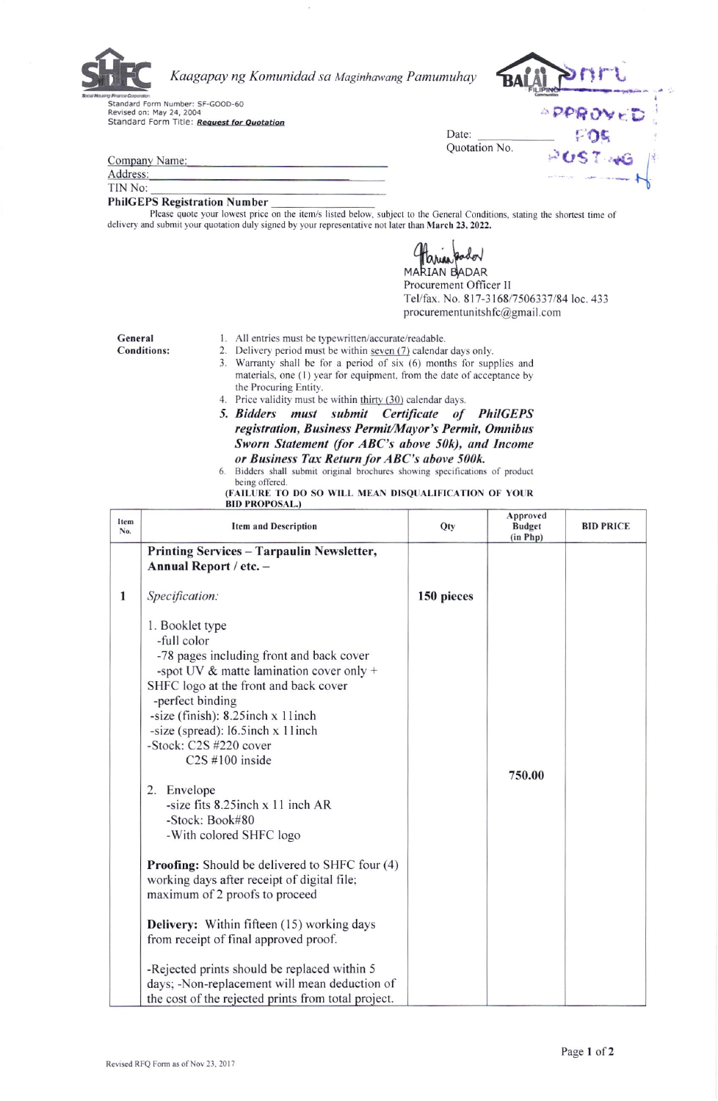

Kaagapay ng Komunidad sa Maginhawang Pamumuhay

**Brandard Form Number: SF-GOOD-60<br>Revised on: May 24, 2004<br>Standard Form Title: Request for Quotation** 



**POST NG** 

| Company Name: |  |
|---------------|--|
| Address:      |  |
| TIN No:       |  |

## **PhilGEPS Registration Number**

Please quote your lowest price on the item/s listed below, subject to the General Conditions, stating the shortest time of delivery and submit your quotation duly signed by your representative not later than March 23, 2022.

arian pado

Date:

Quotation No.

RIAN BADAR Procurement Officer II Tel/fax. No. 817-3168/7506337/84 loc. 433 procurementunitshfc@gmail.com

General **Conditions:** 

- 1. All entries must be typewritten/accurate/readable.
- 
- 2. Delivery period must be within seven (7) calendar days only.
- 3. Warranty shall be for a period of six (6) months for supplies and materials, one (1) year for equipment, from the date of acceptance by the Procuring Entity.
	- 4. Price validity must be within thirty (30) calendar days.
	- 5. Bidders must submit Certificate of PhilGEPS registration, Business Permit/Mayor's Permit, Omnibus Sworn Statement (for ABC's above 50k), and Income or Business Tax Return for ABC's above 500k.

<sup>(</sup>FAILURE TO DO SO WILL MEAN DISQUALIFICATION OF YOUR<br>BID PROPOSAL.)

| Item<br>No.  | <b>Item and Description</b>                                                                                                                                                                                                                                                                                                                                                                                                                                                                                                   | Qty        | Approved<br><b>Budget</b><br>(in Php) | <b>BID PRICE</b> |
|--------------|-------------------------------------------------------------------------------------------------------------------------------------------------------------------------------------------------------------------------------------------------------------------------------------------------------------------------------------------------------------------------------------------------------------------------------------------------------------------------------------------------------------------------------|------------|---------------------------------------|------------------|
|              | Printing Services - Tarpaulin Newsletter,                                                                                                                                                                                                                                                                                                                                                                                                                                                                                     |            |                                       |                  |
|              | Annual Report / etc. -                                                                                                                                                                                                                                                                                                                                                                                                                                                                                                        |            |                                       |                  |
| $\mathbf{1}$ | Specification:                                                                                                                                                                                                                                                                                                                                                                                                                                                                                                                | 150 pieces |                                       |                  |
|              | 1. Booklet type<br>-full color<br>-78 pages including front and back cover<br>-spot UV $\&$ matte lamination cover only +<br>SHFC logo at the front and back cover<br>-perfect binding<br>-size (finish): 8.25inch x 11inch<br>-size (spread): 16.5inch x 11inch<br>-Stock: C2S #220 cover<br>$C2S$ #100 inside<br>2. Envelope<br>-size fits $8.25$ inch $x$ 11 inch AR<br>-Stock: Book#80<br>-With colored SHFC logo<br><b>Proofing:</b> Should be delivered to SHFC four (4)<br>working days after receipt of digital file; |            | 750.00                                |                  |
|              | maximum of 2 proofs to proceed                                                                                                                                                                                                                                                                                                                                                                                                                                                                                                |            |                                       |                  |
|              | <b>Delivery:</b> Within fifteen (15) working days<br>from receipt of final approved proof.                                                                                                                                                                                                                                                                                                                                                                                                                                    |            |                                       |                  |
|              | -Rejected prints should be replaced within 5<br>days; -Non-replacement will mean deduction of<br>the cost of the rejected prints from total project.                                                                                                                                                                                                                                                                                                                                                                          |            |                                       |                  |

Bidders shall submit original brochures showing specifications of product 6. being offered.